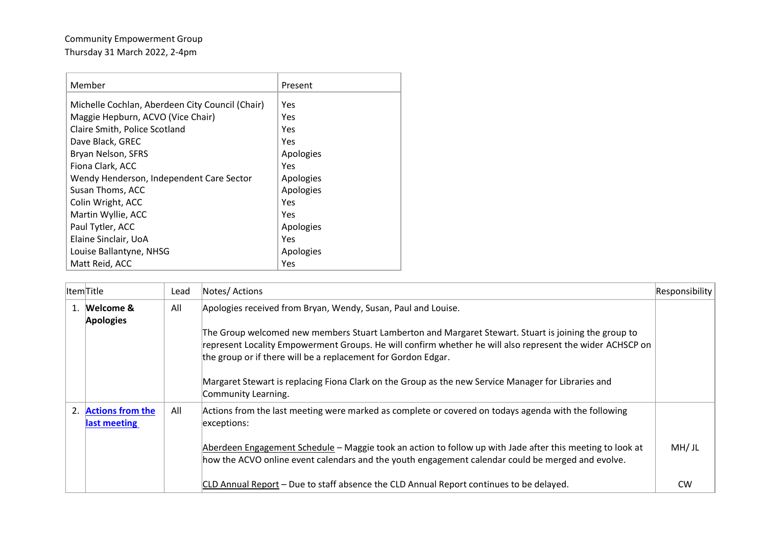## Community Empowerment Group Thursday 31 March 2022, 2-4pm

| Member                                          | Present   |
|-------------------------------------------------|-----------|
| Michelle Cochlan, Aberdeen City Council (Chair) | Yes       |
| Maggie Hepburn, ACVO (Vice Chair)               | Yes       |
| Claire Smith, Police Scotland                   | Yes       |
| Dave Black, GREC                                | Yes       |
| Bryan Nelson, SFRS                              | Apologies |
| Fiona Clark, ACC                                | Yes       |
| Wendy Henderson, Independent Care Sector        | Apologies |
| Susan Thoms, ACC                                | Apologies |
| Colin Wright, ACC                               | Yes       |
| Martin Wyllie, ACC                              | Yes       |
| Paul Tytler, ACC                                | Apologies |
| Elaine Sinclair, UoA                            | Yes       |
| Louise Ballantyne, NHSG                         | Apologies |
| Matt Reid, ACC                                  | Yes       |

|    | ItemTitle                           | Lead | Notes/ Actions                                                                                                                                                                                                                                                                     | Responsibility |
|----|-------------------------------------|------|------------------------------------------------------------------------------------------------------------------------------------------------------------------------------------------------------------------------------------------------------------------------------------|----------------|
| 1. | Welcome &<br><b>Apologies</b>       | All  | Apologies received from Bryan, Wendy, Susan, Paul and Louise.                                                                                                                                                                                                                      |                |
|    |                                     |      | The Group welcomed new members Stuart Lamberton and Margaret Stewart. Stuart is joining the group to<br>represent Locality Empowerment Groups. He will confirm whether he will also represent the wider ACHSCP on<br>the group or if there will be a replacement for Gordon Edgar. |                |
|    |                                     |      | Margaret Stewart is replacing Fiona Clark on the Group as the new Service Manager for Libraries and<br>Community Learning.                                                                                                                                                         |                |
|    | 2. Actions from the<br>last meeting | All  | Actions from the last meeting were marked as complete or covered on todays agenda with the following<br>exceptions:                                                                                                                                                                |                |
|    |                                     |      | Aberdeen Engagement Schedule – Maggie took an action to follow up with Jade after this meeting to look at<br>how the ACVO online event calendars and the youth engagement calendar could be merged and evolve.                                                                     | MH/JL          |
|    |                                     |      | CLD Annual Report - Due to staff absence the CLD Annual Report continues to be delayed.                                                                                                                                                                                            | <b>CW</b>      |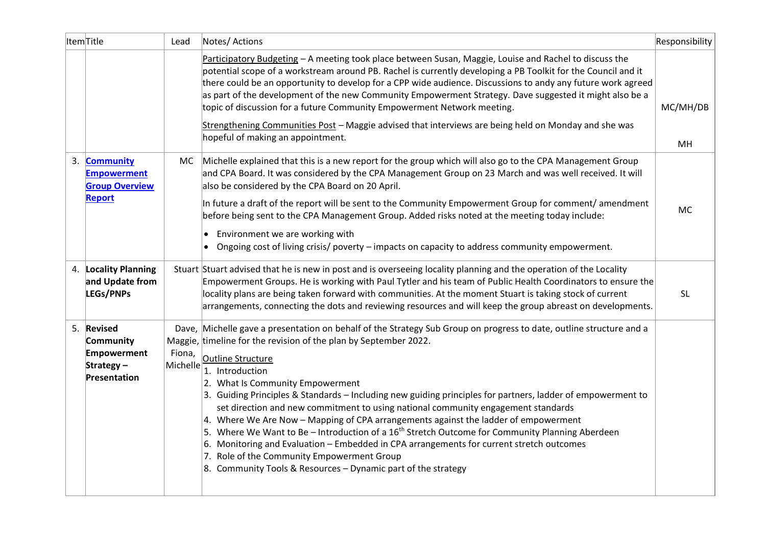| ItemTitle                                                           | Lead   | Notes/Actions                                                                                                                                                                                                                                                                                                                                                                                                                                                                                                                                                                                                                                                                                                                                                                                                                                                                                                                                             | Responsibility |
|---------------------------------------------------------------------|--------|-----------------------------------------------------------------------------------------------------------------------------------------------------------------------------------------------------------------------------------------------------------------------------------------------------------------------------------------------------------------------------------------------------------------------------------------------------------------------------------------------------------------------------------------------------------------------------------------------------------------------------------------------------------------------------------------------------------------------------------------------------------------------------------------------------------------------------------------------------------------------------------------------------------------------------------------------------------|----------------|
|                                                                     |        | Participatory Budgeting - A meeting took place between Susan, Maggie, Louise and Rachel to discuss the<br>potential scope of a workstream around PB. Rachel is currently developing a PB Toolkit for the Council and it<br>there could be an opportunity to develop for a CPP wide audience. Discussions to andy any future work agreed<br>as part of the development of the new Community Empowerment Strategy. Dave suggested it might also be a<br>topic of discussion for a future Community Empowerment Network meeting.                                                                                                                                                                                                                                                                                                                                                                                                                             | MC/MH/DB       |
|                                                                     |        | Strengthening Communities Post - Maggie advised that interviews are being held on Monday and she was<br>hopeful of making an appointment.                                                                                                                                                                                                                                                                                                                                                                                                                                                                                                                                                                                                                                                                                                                                                                                                                 | MH             |
| 3. Community<br><b>Empowerment</b><br><b>Group Overview</b>         | MC.    | Michelle explained that this is a new report for the group which will also go to the CPA Management Group<br>and CPA Board. It was considered by the CPA Management Group on 23 March and was well received. It will<br>also be considered by the CPA Board on 20 April.                                                                                                                                                                                                                                                                                                                                                                                                                                                                                                                                                                                                                                                                                  |                |
| <b>Report</b>                                                       |        | In future a draft of the report will be sent to the Community Empowerment Group for comment/ amendment<br>before being sent to the CPA Management Group. Added risks noted at the meeting today include:<br>• Environment we are working with<br>Ongoing cost of living crisis/ poverty - impacts on capacity to address community empowerment.                                                                                                                                                                                                                                                                                                                                                                                                                                                                                                                                                                                                           | <b>MC</b>      |
| 4. Locality Planning<br>and Update from<br>LEGs/PNPs                |        | Stuart Stuart advised that he is new in post and is overseeing locality planning and the operation of the Locality<br>Empowerment Groups. He is working with Paul Tytler and his team of Public Health Coordinators to ensure the<br>locality plans are being taken forward with communities. At the moment Stuart is taking stock of current<br>arrangements, connecting the dots and reviewing resources and will keep the group abreast on developments.                                                                                                                                                                                                                                                                                                                                                                                                                                                                                               | <b>SL</b>      |
| 5. Revised<br>Community<br>Empowerment<br>Strategy-<br>Presentation | Fiona, | Dave, Michelle gave a presentation on behalf of the Strategy Sub Group on progress to date, outline structure and a<br>Maggie, timeline for the revision of the plan by September 2022.<br>Outline Structure<br>$ \text{Michelle} \overline{\overline{1.}}\overline{\overline{1.}}$ Introduction<br>2. What Is Community Empowerment<br>3. Guiding Principles & Standards - Including new guiding principles for partners, ladder of empowerment to<br>set direction and new commitment to using national community engagement standards<br>4. Where We Are Now – Mapping of CPA arrangements against the ladder of empowerment<br>5. Where We Want to Be - Introduction of a 16 <sup>th</sup> Stretch Outcome for Community Planning Aberdeen<br>6. Monitoring and Evaluation - Embedded in CPA arrangements for current stretch outcomes<br>7. Role of the Community Empowerment Group<br>8. Community Tools & Resources - Dynamic part of the strategy |                |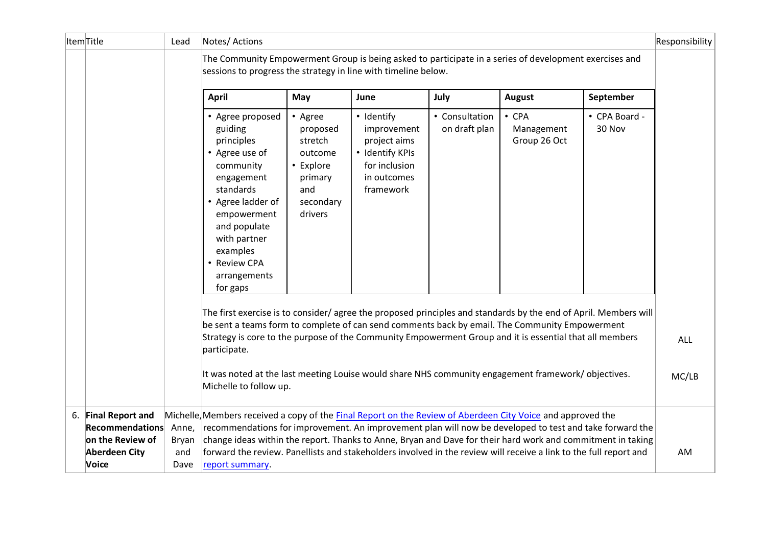| ItemTitle |                                          | Lead                | Notes/ Actions                                                                                                                                                                                                                                                                                                                                      |                                                                                                  |                                                                                                           |                                 |                                           |                         | Responsibility |
|-----------|------------------------------------------|---------------------|-----------------------------------------------------------------------------------------------------------------------------------------------------------------------------------------------------------------------------------------------------------------------------------------------------------------------------------------------------|--------------------------------------------------------------------------------------------------|-----------------------------------------------------------------------------------------------------------|---------------------------------|-------------------------------------------|-------------------------|----------------|
|           |                                          |                     | The Community Empowerment Group is being asked to participate in a series of development exercises and<br>sessions to progress the strategy in line with timeline below.                                                                                                                                                                            |                                                                                                  |                                                                                                           |                                 |                                           |                         |                |
|           |                                          |                     | <b>April</b>                                                                                                                                                                                                                                                                                                                                        | May                                                                                              | June                                                                                                      | July                            | <b>August</b>                             | September               |                |
|           |                                          |                     | • Agree proposed<br>guiding<br>principles<br>• Agree use of<br>community<br>engagement<br>standards<br>• Agree ladder of<br>empowerment<br>and populate<br>with partner<br>examples<br>• Review CPA<br>arrangements<br>for gaps<br>The first exercise is to consider/ agree the proposed principles and standards by the end of April. Members will | • Agree<br>proposed<br>stretch<br>outcome<br>• Explore<br>primary<br>and<br>secondary<br>drivers | • Identify<br>improvement<br>project aims<br>· Identify KPIs<br>for inclusion<br>in outcomes<br>framework | • Consultation<br>on draft plan | $\cdot$ CPA<br>Management<br>Group 26 Oct | • CPA Board -<br>30 Nov |                |
|           |                                          |                     | be sent a teams form to complete of can send comments back by email. The Community Empowerment                                                                                                                                                                                                                                                      |                                                                                                  |                                                                                                           |                                 |                                           |                         |                |
|           |                                          |                     | Strategy is core to the purpose of the Community Empowerment Group and it is essential that all members<br>participate.                                                                                                                                                                                                                             |                                                                                                  |                                                                                                           |                                 | <b>ALL</b>                                |                         |                |
|           |                                          |                     | It was noted at the last meeting Louise would share NHS community engagement framework/objectives.<br>Michelle to follow up.                                                                                                                                                                                                                        |                                                                                                  |                                                                                                           |                                 |                                           |                         | MC/LB          |
|           | 6. Final Report and                      |                     | Michelle, Members received a copy of the <b>Final Report on the Review of Aberdeen City Voice</b> and approved the                                                                                                                                                                                                                                  |                                                                                                  |                                                                                                           |                                 |                                           |                         |                |
|           | <b>Recommendations</b>                   | Anne,               | recommendations for improvement. An improvement plan will now be developed to test and take forward the                                                                                                                                                                                                                                             |                                                                                                  |                                                                                                           |                                 |                                           |                         |                |
|           | on the Review of<br><b>Aberdeen City</b> | <b>Bryan</b><br>and | change ideas within the report. Thanks to Anne, Bryan and Dave for their hard work and commitment in taking<br>forward the review. Panellists and stakeholders involved in the review will receive a link to the full report and                                                                                                                    |                                                                                                  |                                                                                                           |                                 |                                           |                         | AM             |
|           | Voice                                    | Dave                | report summary.                                                                                                                                                                                                                                                                                                                                     |                                                                                                  |                                                                                                           |                                 |                                           |                         |                |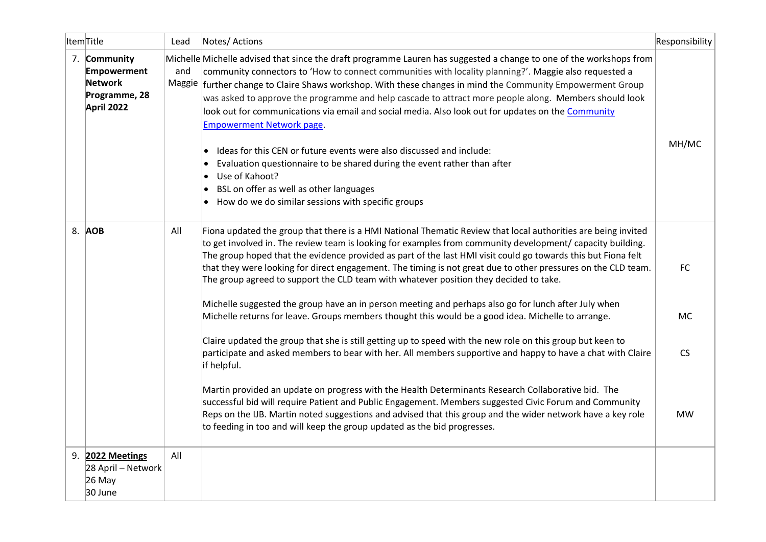| ItemTitle                                                                    | Lead | Notes/ Actions                                                                                                                                                                                                                                                                                                                                                                                                                                                                                                                                                                                                                                                                                                                                                                                                                                                       | Responsibility |
|------------------------------------------------------------------------------|------|----------------------------------------------------------------------------------------------------------------------------------------------------------------------------------------------------------------------------------------------------------------------------------------------------------------------------------------------------------------------------------------------------------------------------------------------------------------------------------------------------------------------------------------------------------------------------------------------------------------------------------------------------------------------------------------------------------------------------------------------------------------------------------------------------------------------------------------------------------------------|----------------|
| 7. Community<br><b>Empowerment</b><br>Network<br>Programme, 28<br>April 2022 | and  | Michelle Michelle advised that since the draft programme Lauren has suggested a change to one of the workshops from<br>community connectors to 'How to connect communities with locality planning?'. Maggie also requested a<br>Maggie further change to Claire Shaws workshop. With these changes in mind the Community Empowerment Group<br>was asked to approve the programme and help cascade to attract more people along. Members should look<br>look out for communications via email and social media. Also look out for updates on the Community<br><b>Empowerment Network page.</b><br>Ideas for this CEN or future events were also discussed and include:<br>Evaluation questionnaire to be shared during the event rather than after<br>Use of Kahoot?<br>BSL on offer as well as other languages<br>How do we do similar sessions with specific groups | MH/MC          |
| 8. AOB                                                                       | All  | Fiona updated the group that there is a HMI National Thematic Review that local authorities are being invited<br>to get involved in. The review team is looking for examples from community development/ capacity building.<br>The group hoped that the evidence provided as part of the last HMI visit could go towards this but Fiona felt<br>that they were looking for direct engagement. The timing is not great due to other pressures on the CLD team.<br>The group agreed to support the CLD team with whatever position they decided to take.                                                                                                                                                                                                                                                                                                               | <b>FC</b>      |
|                                                                              |      | Michelle suggested the group have an in person meeting and perhaps also go for lunch after July when<br>Michelle returns for leave. Groups members thought this would be a good idea. Michelle to arrange.                                                                                                                                                                                                                                                                                                                                                                                                                                                                                                                                                                                                                                                           | <b>MC</b>      |
|                                                                              |      | Claire updated the group that she is still getting up to speed with the new role on this group but keen to<br>participate and asked members to bear with her. All members supportive and happy to have a chat with Claire<br>if helpful.                                                                                                                                                                                                                                                                                                                                                                                                                                                                                                                                                                                                                             | <b>CS</b>      |
|                                                                              |      | Martin provided an update on progress with the Health Determinants Research Collaborative bid. The<br>successful bid will require Patient and Public Engagement. Members suggested Civic Forum and Community<br>Reps on the IJB. Martin noted suggestions and advised that this group and the wider network have a key role<br>to feeding in too and will keep the group updated as the bid progresses.                                                                                                                                                                                                                                                                                                                                                                                                                                                              | <b>MW</b>      |
| 9. 2022 Meetings<br>28 April – Network<br>26 May<br>30 June                  | All  |                                                                                                                                                                                                                                                                                                                                                                                                                                                                                                                                                                                                                                                                                                                                                                                                                                                                      |                |